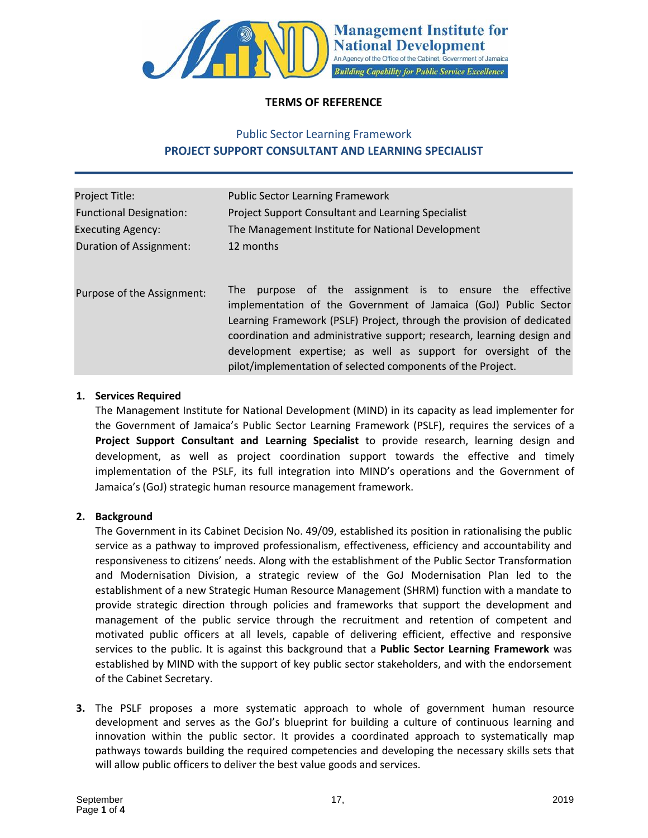

## **TERMS OF REFERENCE**

# Public Sector Learning Framework **PROJECT SUPPORT CONSULTANT AND LEARNING SPECIALIST**

| <b>Public Sector Learning Framework</b>                                                                                                                                                                                                                                                                                                                                                                            |
|--------------------------------------------------------------------------------------------------------------------------------------------------------------------------------------------------------------------------------------------------------------------------------------------------------------------------------------------------------------------------------------------------------------------|
| <b>Project Support Consultant and Learning Specialist</b>                                                                                                                                                                                                                                                                                                                                                          |
| The Management Institute for National Development                                                                                                                                                                                                                                                                                                                                                                  |
| 12 months                                                                                                                                                                                                                                                                                                                                                                                                          |
| purpose of the assignment is to ensure the effective<br>The<br>implementation of the Government of Jamaica (GoJ) Public Sector<br>Learning Framework (PSLF) Project, through the provision of dedicated<br>coordination and administrative support; research, learning design and<br>development expertise; as well as support for oversight of the<br>pilot/implementation of selected components of the Project. |
|                                                                                                                                                                                                                                                                                                                                                                                                                    |

## **1. Services Required**

The Management Institute for National Development (MIND) in its capacity as lead implementer for the Government of Jamaica's Public Sector Learning Framework (PSLF), requires the services of a **Project Support Consultant and Learning Specialist** to provide research, learning design and development, as well as project coordination support towards the effective and timely implementation of the PSLF, its full integration into MIND's operations and the Government of Jamaica's (GoJ) strategic human resource management framework.

## **2. Background**

The Government in its Cabinet Decision No. 49/09, established its position in rationalising the public service as a pathway to improved professionalism, effectiveness, efficiency and accountability and responsiveness to citizens' needs. Along with the establishment of the Public Sector Transformation and Modernisation Division, a strategic review of the GoJ Modernisation Plan led to the establishment of a new Strategic Human Resource Management (SHRM) function with a mandate to provide strategic direction through policies and frameworks that support the development and management of the public service through the recruitment and retention of competent and motivated public officers at all levels, capable of delivering efficient, effective and responsive services to the public. It is against this background that a **Public Sector Learning Framework** was established by MIND with the support of key public sector stakeholders, and with the endorsement of the Cabinet Secretary.

**3.** The PSLF proposes a more systematic approach to whole of government human resource development and serves as the GoJ's blueprint for building a culture of continuous learning and innovation within the public sector. It provides a coordinated approach to systematically map pathways towards building the required competencies and developing the necessary skills sets that will allow public officers to deliver the best value goods and services.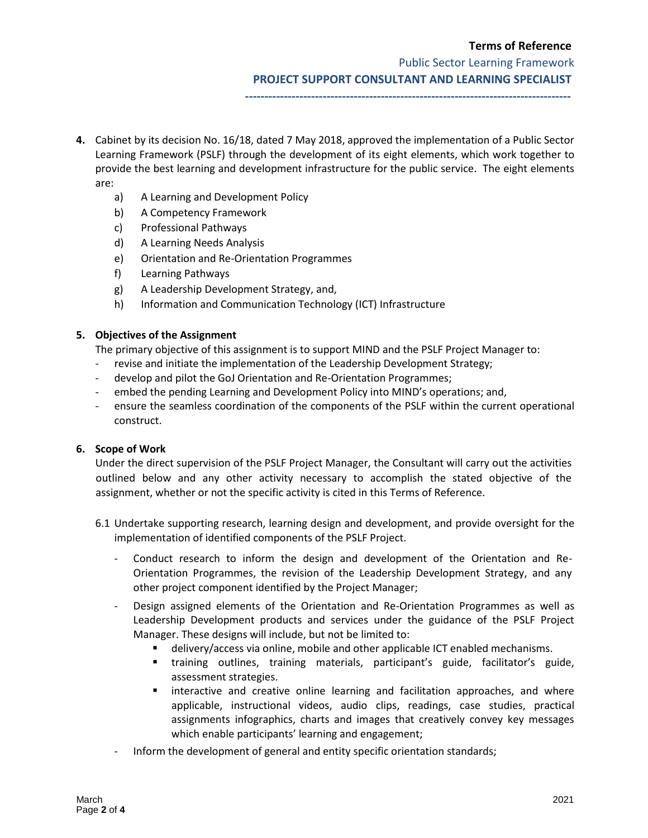## **Terms of Reference**

Public Sector Learning Framework

**PROJECT SUPPORT CONSULTANT AND LEARNING SPECIALIST**

**------------------------------------------------------------------------------------**

- **4.** Cabinet by its decision No. 16/18, dated 7 May 2018, approved the implementation of a Public Sector Learning Framework (PSLF) through the development of its eight elements, which work together to provide the best learning and development infrastructure for the public service. The eight elements are:
	- a) A Learning and Development Policy
	- b) A Competency Framework
	- c) Professional Pathways
	- d) A Learning Needs Analysis
	- e) Orientation and Re-Orientation Programmes
	- f) Learning Pathways
	- g) A Leadership Development Strategy, and,
	- h) Information and Communication Technology (ICT) Infrastructure

## **5. Objectives of the Assignment**

The primary objective of this assignment is to support MIND and the PSLF Project Manager to:

- revise and initiate the implementation of the Leadership Development Strategy;
- develop and pilot the GoJ Orientation and Re-Orientation Programmes;
- embed the pending Learning and Development Policy into MIND's operations; and,
- ensure the seamless coordination of the components of the PSLF within the current operational construct.

## **6. Scope of Work**

Under the direct supervision of the PSLF Project Manager, the Consultant will carry out the activities outlined below and any other activity necessary to accomplish the stated objective of the assignment, whether or not the specific activity is cited in this Terms of Reference.

- 6.1 Undertake supporting research, learning design and development, and provide oversight for the implementation of identified components of the PSLF Project.
	- Conduct research to inform the design and development of the Orientation and Re-Orientation Programmes, the revision of the Leadership Development Strategy, and any other project component identified by the Project Manager;
	- Design assigned elements of the Orientation and Re-Orientation Programmes as well as Leadership Development products and services under the guidance of the PSLF Project Manager. These designs will include, but not be limited to:
		- delivery/access via online, mobile and other applicable ICT enabled mechanisms.
		- training outlines, training materials, participant's guide, facilitator's guide, assessment strategies.
		- interactive and creative online learning and facilitation approaches, and where applicable, instructional videos, audio clips, readings, case studies, practical assignments infographics, charts and images that creatively convey key messages which enable participants' learning and engagement;
	- Inform the development of general and entity specific orientation standards;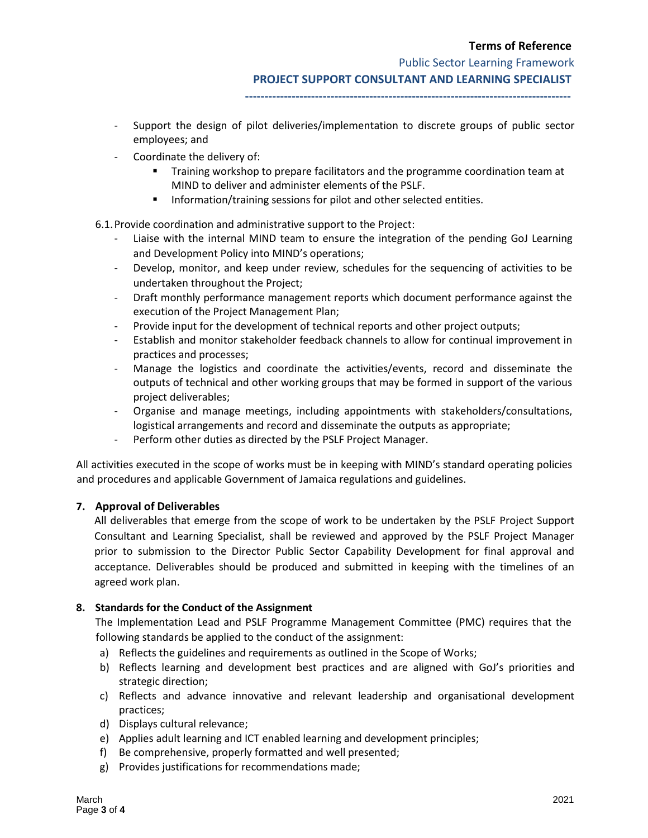#### **Terms of Reference**

Public Sector Learning Framework

**PROJECT SUPPORT CONSULTANT AND LEARNING SPECIALIST**

- **------------------------------------------------------------------------------------**
- Support the design of pilot deliveries/implementation to discrete groups of public sector employees; and
- Coordinate the delivery of:
	- Training workshop to prepare facilitators and the programme coordination team at MIND to deliver and administer elements of the PSLF.
	- Information/training sessions for pilot and other selected entities.
- 6.1.Provide coordination and administrative support to the Project:
	- Liaise with the internal MIND team to ensure the integration of the pending GoJ Learning and Development Policy into MIND's operations;
	- Develop, monitor, and keep under review, schedules for the sequencing of activities to be undertaken throughout the Project;
	- Draft monthly performance management reports which document performance against the execution of the Project Management Plan;
	- Provide input for the development of technical reports and other project outputs;
	- Establish and monitor stakeholder feedback channels to allow for continual improvement in practices and processes;
	- Manage the logistics and coordinate the activities/events, record and disseminate the outputs of technical and other working groups that may be formed in support of the various project deliverables;
	- Organise and manage meetings, including appointments with stakeholders/consultations, logistical arrangements and record and disseminate the outputs as appropriate;
	- Perform other duties as directed by the PSLF Project Manager.

All activities executed in the scope of works must be in keeping with MIND's standard operating policies and procedures and applicable Government of Jamaica regulations and guidelines.

## **7. Approval of Deliverables**

All deliverables that emerge from the scope of work to be undertaken by the PSLF Project Support Consultant and Learning Specialist, shall be reviewed and approved by the PSLF Project Manager prior to submission to the Director Public Sector Capability Development for final approval and acceptance. Deliverables should be produced and submitted in keeping with the timelines of an agreed work plan.

#### **8. Standards for the Conduct of the Assignment**

The Implementation Lead and PSLF Programme Management Committee (PMC) requires that the following standards be applied to the conduct of the assignment:

- a) Reflects the guidelines and requirements as outlined in the Scope of Works;
- b) Reflects learning and development best practices and are aligned with GoJ's priorities and strategic direction;
- c) Reflects and advance innovative and relevant leadership and organisational development practices;
- d) Displays cultural relevance;
- e) Applies adult learning and ICT enabled learning and development principles;
- f) Be comprehensive, properly formatted and well presented;
- g) Provides justifications for recommendations made;